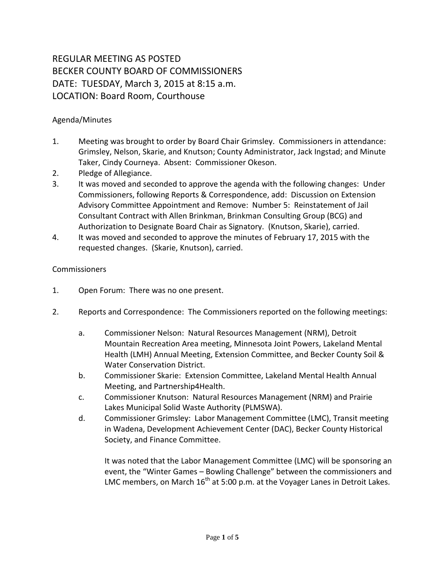## REGULAR MEETING AS POSTED BECKER COUNTY BOARD OF COMMISSIONERS DATE: TUESDAY, March 3, 2015 at 8:15 a.m. LOCATION: Board Room, Courthouse

## Agenda/Minutes

- 1. Meeting was brought to order by Board Chair Grimsley. Commissioners in attendance: Grimsley, Nelson, Skarie, and Knutson; County Administrator, Jack Ingstad; and Minute Taker, Cindy Courneya. Absent: Commissioner Okeson.
- 2. Pledge of Allegiance.
- 3. It was moved and seconded to approve the agenda with the following changes: Under Commissioners, following Reports & Correspondence, add: Discussion on Extension Advisory Committee Appointment and Remove: Number 5: Reinstatement of Jail Consultant Contract with Allen Brinkman, Brinkman Consulting Group (BCG) and Authorization to Designate Board Chair as Signatory. (Knutson, Skarie), carried.
- 4. It was moved and seconded to approve the minutes of February 17, 2015 with the requested changes. (Skarie, Knutson), carried.

## Commissioners

- 1. Open Forum: There was no one present.
- 2. Reports and Correspondence: The Commissioners reported on the following meetings:
	- a. Commissioner Nelson: Natural Resources Management (NRM), Detroit Mountain Recreation Area meeting, Minnesota Joint Powers, Lakeland Mental Health (LMH) Annual Meeting, Extension Committee, and Becker County Soil & Water Conservation District.
	- b. Commissioner Skarie: Extension Committee, Lakeland Mental Health Annual Meeting, and Partnership4Health.
	- c. Commissioner Knutson: Natural Resources Management (NRM) and Prairie Lakes Municipal Solid Waste Authority (PLMSWA).
	- d. Commissioner Grimsley: Labor Management Committee (LMC), Transit meeting in Wadena, Development Achievement Center (DAC), Becker County Historical Society, and Finance Committee.

It was noted that the Labor Management Committee (LMC) will be sponsoring an event, the "Winter Games – Bowling Challenge" between the commissioners and LMC members, on March  $16<sup>th</sup>$  at 5:00 p.m. at the Voyager Lanes in Detroit Lakes.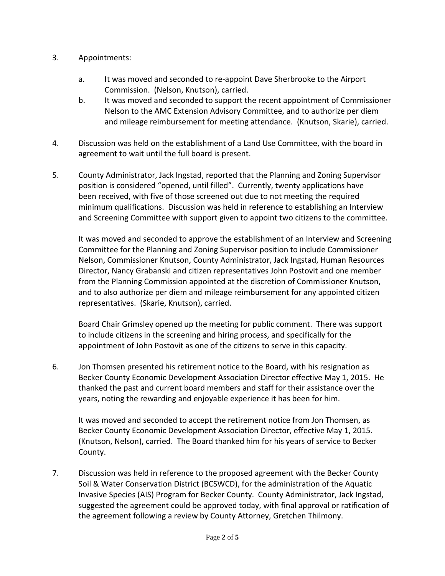- 3. Appointments:
	- a. **I**t was moved and seconded to re-appoint Dave Sherbrooke to the Airport Commission. (Nelson, Knutson), carried.
	- b. It was moved and seconded to support the recent appointment of Commissioner Nelson to the AMC Extension Advisory Committee, and to authorize per diem and mileage reimbursement for meeting attendance. (Knutson, Skarie), carried.
- 4. Discussion was held on the establishment of a Land Use Committee, with the board in agreement to wait until the full board is present.
- 5. County Administrator, Jack Ingstad, reported that the Planning and Zoning Supervisor position is considered "opened, until filled". Currently, twenty applications have been received, with five of those screened out due to not meeting the required minimum qualifications. Discussion was held in reference to establishing an Interview and Screening Committee with support given to appoint two citizens to the committee.

It was moved and seconded to approve the establishment of an Interview and Screening Committee for the Planning and Zoning Supervisor position to include Commissioner Nelson, Commissioner Knutson, County Administrator, Jack Ingstad, Human Resources Director, Nancy Grabanski and citizen representatives John Postovit and one member from the Planning Commission appointed at the discretion of Commissioner Knutson, and to also authorize per diem and mileage reimbursement for any appointed citizen representatives. (Skarie, Knutson), carried.

Board Chair Grimsley opened up the meeting for public comment. There was support to include citizens in the screening and hiring process, and specifically for the appointment of John Postovit as one of the citizens to serve in this capacity.

6. Jon Thomsen presented his retirement notice to the Board, with his resignation as Becker County Economic Development Association Director effective May 1, 2015. He thanked the past and current board members and staff for their assistance over the years, noting the rewarding and enjoyable experience it has been for him.

It was moved and seconded to accept the retirement notice from Jon Thomsen, as Becker County Economic Development Association Director, effective May 1, 2015. (Knutson, Nelson), carried. The Board thanked him for his years of service to Becker County.

7. Discussion was held in reference to the proposed agreement with the Becker County Soil & Water Conservation District (BCSWCD), for the administration of the Aquatic Invasive Species (AIS) Program for Becker County. County Administrator, Jack Ingstad, suggested the agreement could be approved today, with final approval or ratification of the agreement following a review by County Attorney, Gretchen Thilmony.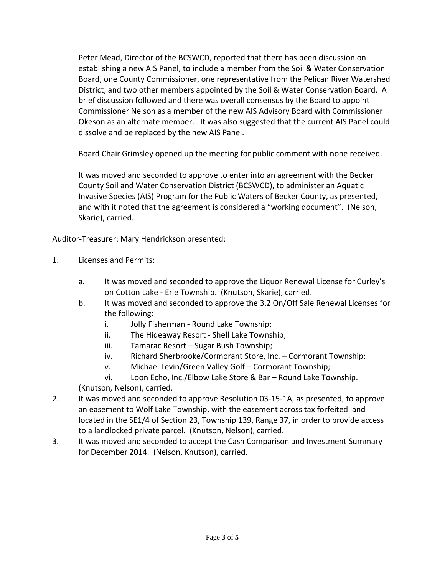Peter Mead, Director of the BCSWCD, reported that there has been discussion on establishing a new AIS Panel, to include a member from the Soil & Water Conservation Board, one County Commissioner, one representative from the Pelican River Watershed District, and two other members appointed by the Soil & Water Conservation Board. A brief discussion followed and there was overall consensus by the Board to appoint Commissioner Nelson as a member of the new AIS Advisory Board with Commissioner Okeson as an alternate member. It was also suggested that the current AIS Panel could dissolve and be replaced by the new AIS Panel.

Board Chair Grimsley opened up the meeting for public comment with none received.

It was moved and seconded to approve to enter into an agreement with the Becker County Soil and Water Conservation District (BCSWCD), to administer an Aquatic Invasive Species (AIS) Program for the Public Waters of Becker County, as presented, and with it noted that the agreement is considered a "working document". (Nelson, Skarie), carried.

Auditor-Treasurer: Mary Hendrickson presented:

- 1. Licenses and Permits:
	- a. It was moved and seconded to approve the Liquor Renewal License for Curley's on Cotton Lake - Erie Township. (Knutson, Skarie), carried.
	- b. It was moved and seconded to approve the 3.2 On/Off Sale Renewal Licenses for the following:
		- i. Jolly Fisherman Round Lake Township;
		- ii. The Hideaway Resort Shell Lake Township;
		- iii. Tamarac Resort Sugar Bush Township;
		- iv. Richard Sherbrooke/Cormorant Store, Inc. Cormorant Township;
		- v. Michael Levin/Green Valley Golf Cormorant Township;

vi. Loon Echo, Inc./Elbow Lake Store & Bar – Round Lake Township. (Knutson, Nelson), carried.

- 2. It was moved and seconded to approve Resolution 03-15-1A, as presented, to approve an easement to Wolf Lake Township, with the easement across tax forfeited land located in the SE1/4 of Section 23, Township 139, Range 37, in order to provide access to a landlocked private parcel. (Knutson, Nelson), carried.
- 3. It was moved and seconded to accept the Cash Comparison and Investment Summary for December 2014. (Nelson, Knutson), carried.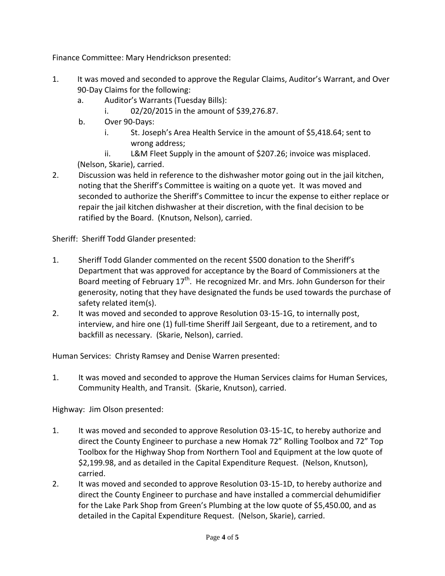Finance Committee: Mary Hendrickson presented:

- 1. It was moved and seconded to approve the Regular Claims, Auditor's Warrant, and Over 90-Day Claims for the following:
	- a. Auditor's Warrants (Tuesday Bills):
		- i. 02/20/2015 in the amount of \$39,276.87.
	- b. Over 90-Days:
		- i. St. Joseph's Area Health Service in the amount of \$5,418.64; sent to wrong address;
	- ii. L&M Fleet Supply in the amount of \$207.26; invoice was misplaced. (Nelson, Skarie), carried.
- 2. Discussion was held in reference to the dishwasher motor going out in the jail kitchen, noting that the Sheriff's Committee is waiting on a quote yet. It was moved and seconded to authorize the Sheriff's Committee to incur the expense to either replace or repair the jail kitchen dishwasher at their discretion, with the final decision to be ratified by the Board. (Knutson, Nelson), carried.

Sheriff: Sheriff Todd Glander presented:

- 1. Sheriff Todd Glander commented on the recent \$500 donation to the Sheriff's Department that was approved for acceptance by the Board of Commissioners at the Board meeting of February  $17<sup>th</sup>$ . He recognized Mr. and Mrs. John Gunderson for their generosity, noting that they have designated the funds be used towards the purchase of safety related item(s).
- 2. It was moved and seconded to approve Resolution 03-15-1G, to internally post, interview, and hire one (1) full-time Sheriff Jail Sergeant, due to a retirement, and to backfill as necessary. (Skarie, Nelson), carried.

Human Services: Christy Ramsey and Denise Warren presented:

1. It was moved and seconded to approve the Human Services claims for Human Services, Community Health, and Transit. (Skarie, Knutson), carried.

Highway: Jim Olson presented:

- 1. It was moved and seconded to approve Resolution 03-15-1C, to hereby authorize and direct the County Engineer to purchase a new Homak 72" Rolling Toolbox and 72" Top Toolbox for the Highway Shop from Northern Tool and Equipment at the low quote of \$2,199.98, and as detailed in the Capital Expenditure Request. (Nelson, Knutson), carried.
- 2. It was moved and seconded to approve Resolution 03-15-1D, to hereby authorize and direct the County Engineer to purchase and have installed a commercial dehumidifier for the Lake Park Shop from Green's Plumbing at the low quote of \$5,450.00, and as detailed in the Capital Expenditure Request. (Nelson, Skarie), carried.